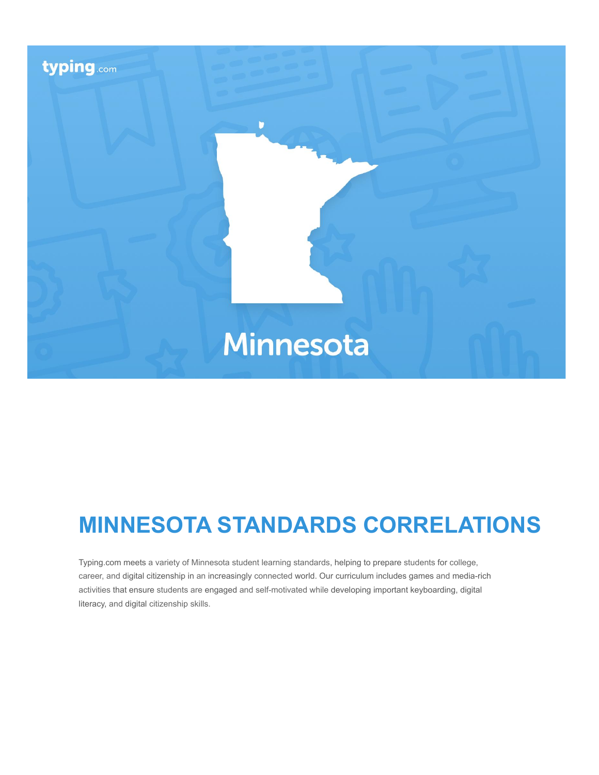

# **MINNESOTA STANDARDS CORRELATIONS**

Typing.com meets a variety of Minnesota student learning standards, helping to prepare students for college, career, and digital citizenship in an increasingly connected world. Our curriculum includes games and media-rich activities that ensure students are engaged and self-motivated while developing important keyboarding, digital literacy, and digital citizenship skills.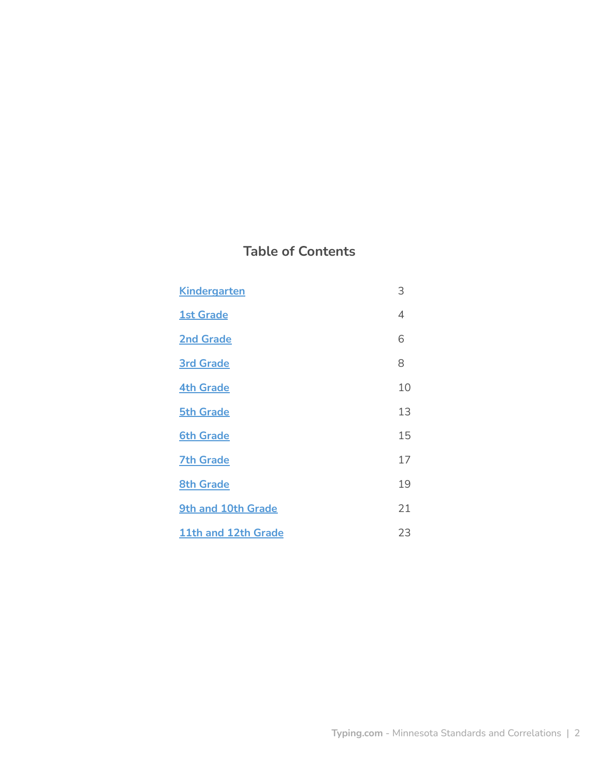# **Table of Contents**

| <b>Kindergarten</b> | 3  |
|---------------------|----|
| <b>1st Grade</b>    | 4  |
| <b>2nd Grade</b>    | 6  |
| <b>3rd Grade</b>    | 8  |
| <b>4th Grade</b>    | 10 |
| <b>5th Grade</b>    | 13 |
| <b>6th Grade</b>    | 15 |
| <b>7th Grade</b>    | 17 |
| <b>8th Grade</b>    | 19 |
| 9th and 10th Grade  | 21 |
| 11th and 12th Grade | 23 |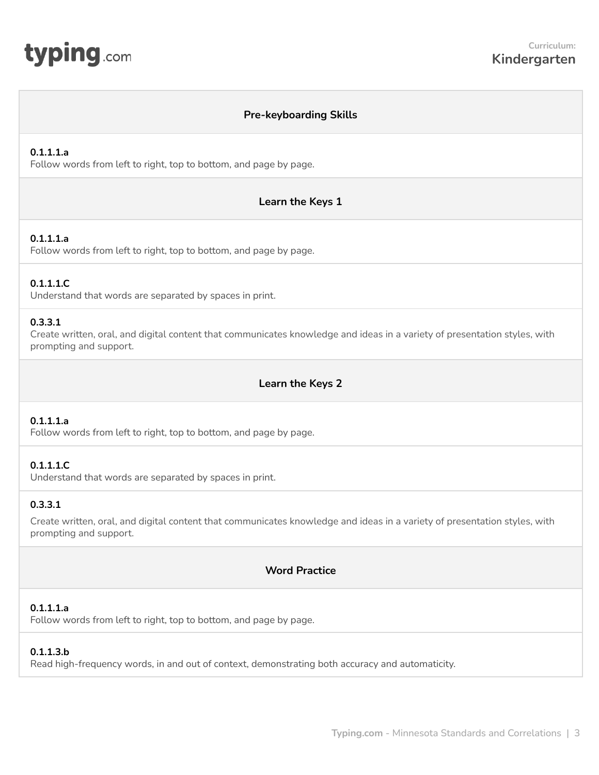<span id="page-2-0"></span>

## **Pre-keyboarding Skills**

#### **0.1.1.1.a**

Follow words from left to right, top to bottom, and page by page.

#### **Learn the Keys 1**

#### **0.1.1.1.a**

Follow words from left to right, top to bottom, and page by page.

#### **0.1.1.1.C**

Understand that words are separated by spaces in print.

#### **0.3.3.1**

Create written, oral, and digital content that communicates knowledge and ideas in a variety of presentation styles, with prompting and support.

## **Learn the Keys 2**

#### **0.1.1.1.a**

Follow words from left to right, top to bottom, and page by page.

#### **0.1.1.1.C**

Understand that words are separated by spaces in print.

#### **0.3.3.1**

Create written, oral, and digital content that communicates knowledge and ideas in a variety of presentation styles, with prompting and support.

## **Word Practice**

#### **0.1.1.1.a**

Follow words from left to right, top to bottom, and page by page.

#### **0.1.1.3.b**

Read high-frequency words, in and out of context, demonstrating both accuracy and automaticity.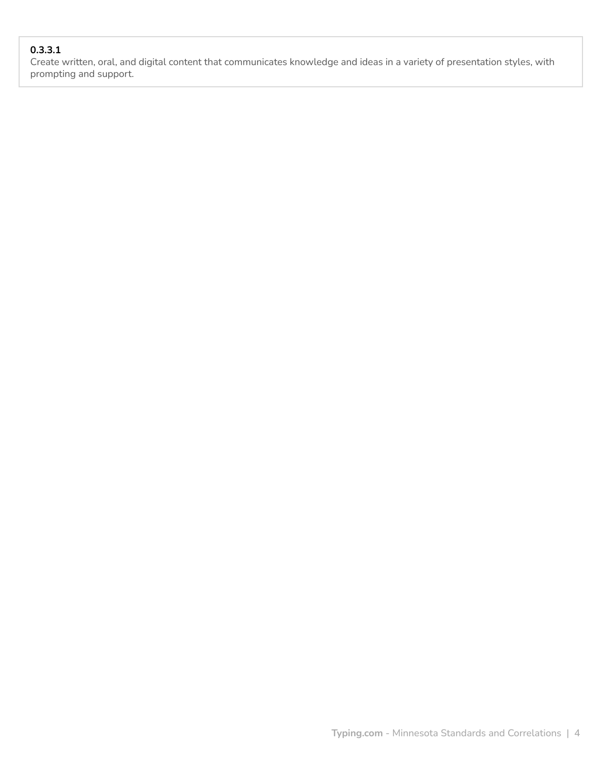# **0.3.3.1**

Create written, oral, and digital content that communicates knowledge and ideas in a variety of presentation styles, with prompting and support.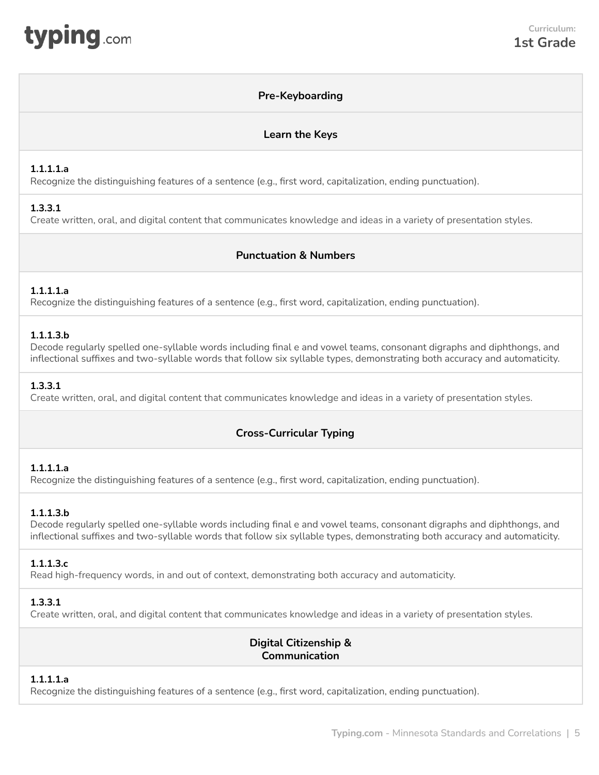## **Pre-Keyboarding**

## **Learn the Keys**

#### <span id="page-4-0"></span>**1.1.1.1.a**

Recognize the distinguishing features of a sentence (e.g., first word, capitalization, ending punctuation).

## **1.3.3.1**

Create written, oral, and digital content that communicates knowledge and ideas in a variety of presentation styles.

## **Punctuation & Numbers**

## **1.1.1.1.a**

Recognize the distinguishing features of a sentence (e.g., first word, capitalization, ending punctuation).

## **1.1.1.3.b**

Decode regularly spelled one-syllable words including final e and vowel teams, consonant digraphs and diphthongs, and inflectional suffixes and two-syllable words that follow six syllable types, demonstrating both accuracy and automaticity.

#### **1.3.3.1**

Create written, oral, and digital content that communicates knowledge and ideas in a variety of presentation styles.

# **Cross-Curricular Typing**

## **1.1.1.1.a**

Recognize the distinguishing features of a sentence (e.g., first word, capitalization, ending punctuation).

## **1.1.1.3.b**

Decode regularly spelled one-syllable words including final e and vowel teams, consonant digraphs and diphthongs, and inflectional suffixes and two-syllable words that follow six syllable types, demonstrating both accuracy and automaticity.

#### **1.1.1.3.c**

Read high-frequency words, in and out of context, demonstrating both accuracy and automaticity.

#### **1.3.3.1**

Create written, oral, and digital content that communicates knowledge and ideas in a variety of presentation styles.

## **Digital Citizenship & Communication**

## **1.1.1.1.a**

Recognize the distinguishing features of a sentence (e.g., first word, capitalization, ending punctuation).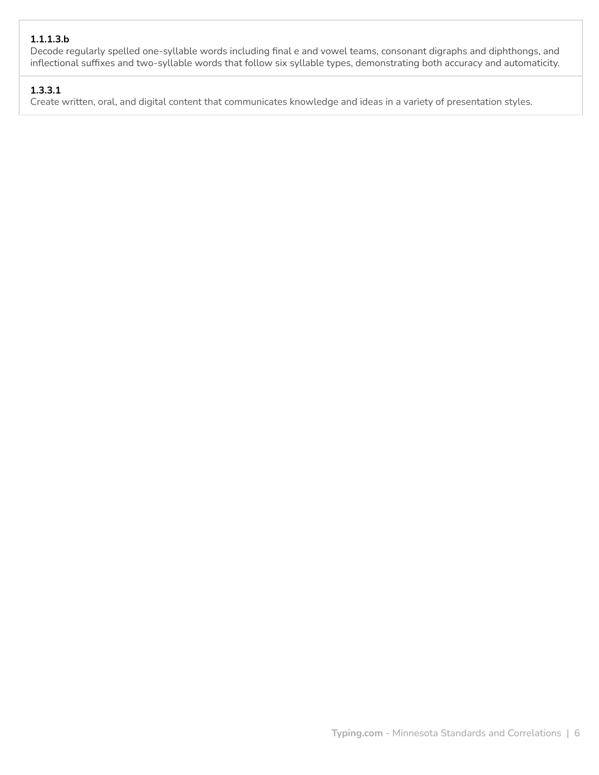## **1.1.1.3.b**

Decode regularly spelled one-syllable words including final e and vowel teams, consonant digraphs and diphthongs, and inflectional suffixes and two-syllable words that follow six syllable types, demonstrating both accuracy and automaticity.

## **1.3.3.1**

Create written, oral, and digital content that communicates knowledge and ideas in a variety of presentation styles.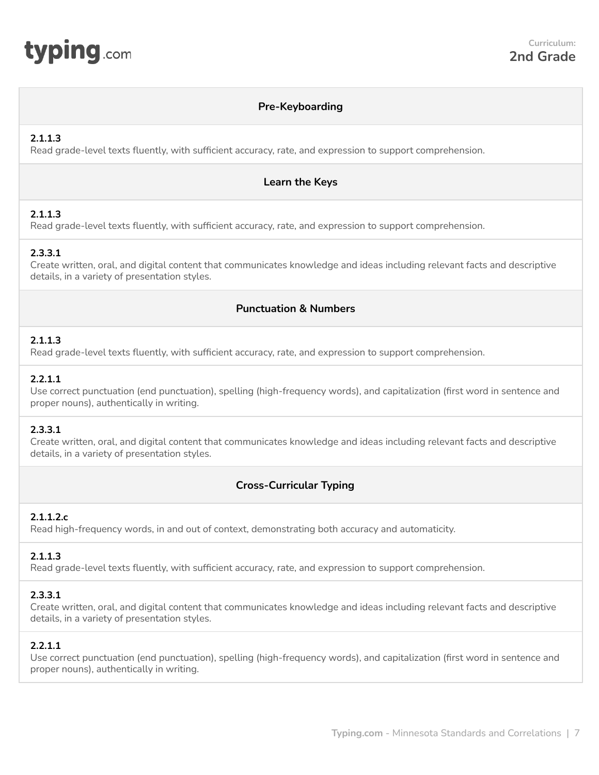<span id="page-6-0"></span>

#### **Pre-Keyboarding**

## **2.1.1.3**

Read grade-level texts fluently, with sufficient accuracy, rate, and expression to support comprehension.

## **Learn the Keys**

## **2.1.1.3**

Read grade-level texts fluently, with sufficient accuracy, rate, and expression to support comprehension.

## **2.3.3.1**

Create written, oral, and digital content that communicates knowledge and ideas including relevant facts and descriptive details, in a variety of presentation styles.

## **Punctuation & Numbers**

## **2.1.1.3**

Read grade-level texts fluently, with sufficient accuracy, rate, and expression to support comprehension.

## **2.2.1.1**

Use correct punctuation (end punctuation), spelling (high-frequency words), and capitalization (first word in sentence and proper nouns), authentically in writing.

## **2.3.3.1**

Create written, oral, and digital content that communicates knowledge and ideas including relevant facts and descriptive details, in a variety of presentation styles.

## **Cross-Curricular Typing**

## **2.1.1.2.c**

Read high-frequency words, in and out of context, demonstrating both accuracy and automaticity.

## **2.1.1.3**

Read grade-level texts fluently, with sufficient accuracy, rate, and expression to support comprehension.

## **2.3.3.1**

Create written, oral, and digital content that communicates knowledge and ideas including relevant facts and descriptive details, in a variety of presentation styles.

## **2.2.1.1**

Use correct punctuation (end punctuation), spelling (high-frequency words), and capitalization (first word in sentence and proper nouns), authentically in writing.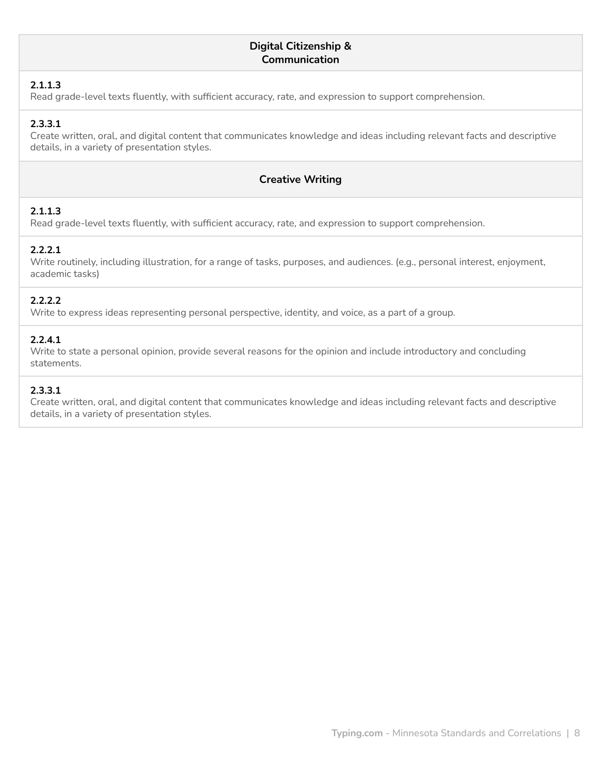#### **Digital Citizenship & Communication**

#### **2.1.1.3**

Read grade-level texts fluently, with sufficient accuracy, rate, and expression to support comprehension.

## **2.3.3.1**

Create written, oral, and digital content that communicates knowledge and ideas including relevant facts and descriptive details, in a variety of presentation styles.

## **Creative Writing**

## **2.1.1.3**

Read grade-level texts fluently, with sufficient accuracy, rate, and expression to support comprehension.

## **2.2.2.1**

Write routinely, including illustration, for a range of tasks, purposes, and audiences. (e.g., personal interest, enjoyment, academic tasks)

## **2.2.2.2**

Write to express ideas representing personal perspective, identity, and voice, as a part of a group.

## **2.2.4.1**

Write to state a personal opinion, provide several reasons for the opinion and include introductory and concluding statements.

#### **2.3.3.1**

Create written, oral, and digital content that communicates knowledge and ideas including relevant facts and descriptive details, in a variety of presentation styles.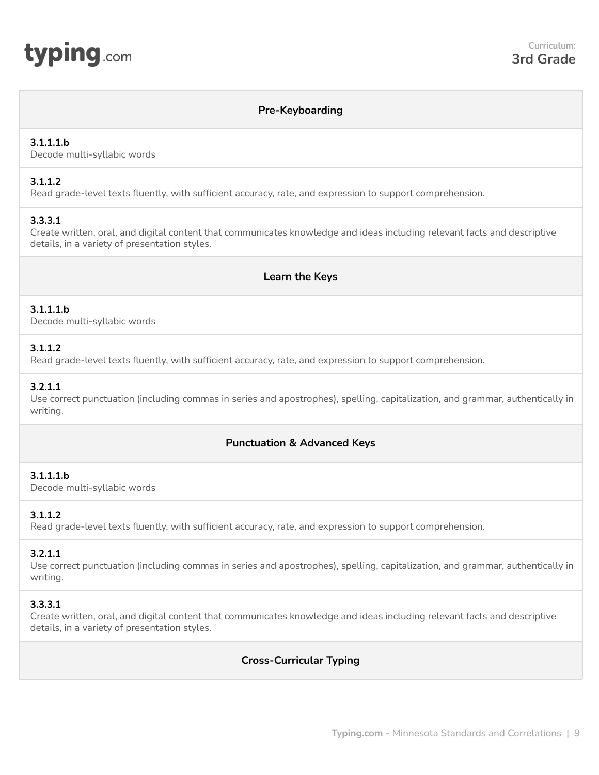<span id="page-8-0"></span>

#### **Pre-Keyboarding**

#### **3.1.1.1.b**

Decode multi-syllabic words

#### **3.1.1.2**

Read grade-level texts fluently, with sufficient accuracy, rate, and expression to support comprehension.

## **3.3.3.1**

Create written, oral, and digital content that communicates knowledge and ideas including relevant facts and descriptive details, in a variety of presentation styles.

#### **Learn the Keys**

#### **3.1.1.1.b**

Decode multi-syllabic words

#### **3.1.1.2**

Read grade-level texts fluently, with sufficient accuracy, rate, and expression to support comprehension.

#### **3.2.1.1**

Use correct punctuation (including commas in series and apostrophes), spelling, capitalization, and grammar, authentically in writing.

## **Punctuation & Advanced Keys**

#### **3.1.1.1.b**

Decode multi-syllabic words

#### **3.1.1.2**

Read grade-level texts fluently, with sufficient accuracy, rate, and expression to support comprehension.

#### **3.2.1.1**

Use correct punctuation (including commas in series and apostrophes), spelling, capitalization, and grammar, authentically in writing.

#### **3.3.3.1**

Create written, oral, and digital content that communicates knowledge and ideas including relevant facts and descriptive details, in a variety of presentation styles.

## **Cross-Curricular Typing**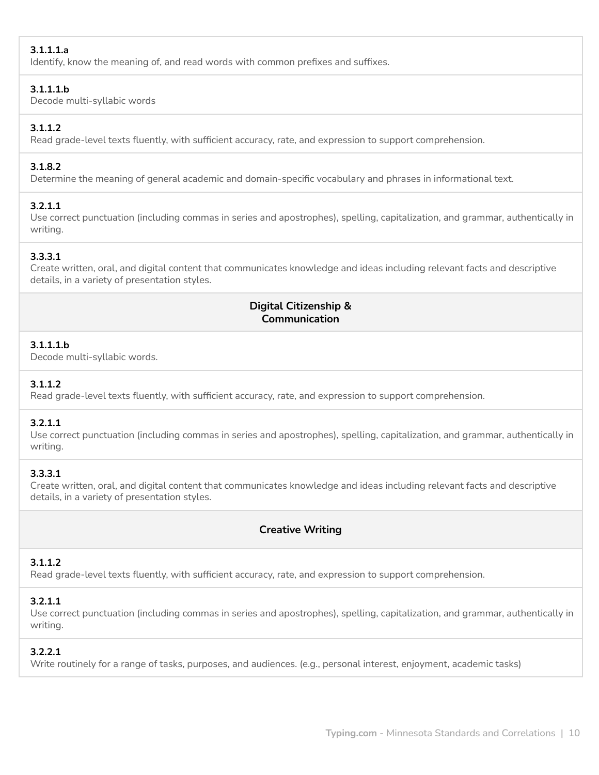## **3.1.1.1.a**

Identify, know the meaning of, and read words with common prefixes and suffixes.

#### **3.1.1.1.b**

Decode multi-syllabic words

## **3.1.1.2**

Read grade-level texts fluently, with sufficient accuracy, rate, and expression to support comprehension.

## **3.1.8.2**

Determine the meaning of general academic and domain-specific vocabulary and phrases in informational text.

## **3.2.1.1**

Use correct punctuation (including commas in series and apostrophes), spelling, capitalization, and grammar, authentically in writing.

## **3.3.3.1**

Create written, oral, and digital content that communicates knowledge and ideas including relevant facts and descriptive details, in a variety of presentation styles.

## **Digital Citizenship & Communication**

## **3.1.1.1.b**

Decode multi-syllabic words.

## **3.1.1.2**

Read grade-level texts fluently, with sufficient accuracy, rate, and expression to support comprehension.

## **3.2.1.1**

Use correct punctuation (including commas in series and apostrophes), spelling, capitalization, and grammar, authentically in writing.

## **3.3.3.1**

Create written, oral, and digital content that communicates knowledge and ideas including relevant facts and descriptive details, in a variety of presentation styles.

# **Creative Writing**

# **3.1.1.2**

Read grade-level texts fluently, with sufficient accuracy, rate, and expression to support comprehension.

# **3.2.1.1**

Use correct punctuation (including commas in series and apostrophes), spelling, capitalization, and grammar, authentically in writing.

## **3.2.2.1**

Write routinely for a range of tasks, purposes, and audiences. (e.g., personal interest, enjoyment, academic tasks)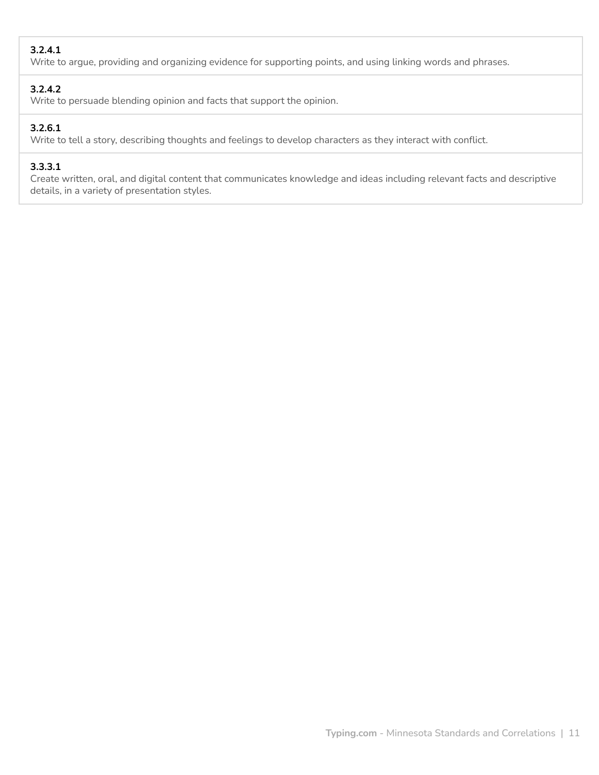## **3.2.4.1**

Write to argue, providing and organizing evidence for supporting points, and using linking words and phrases.

## **3.2.4.2**

Write to persuade blending opinion and facts that support the opinion.

## **3.2.6.1**

Write to tell a story, describing thoughts and feelings to develop characters as they interact with conflict.

## **3.3.3.1**

Create written, oral, and digital content that communicates knowledge and ideas including relevant facts and descriptive details, in a variety of presentation styles.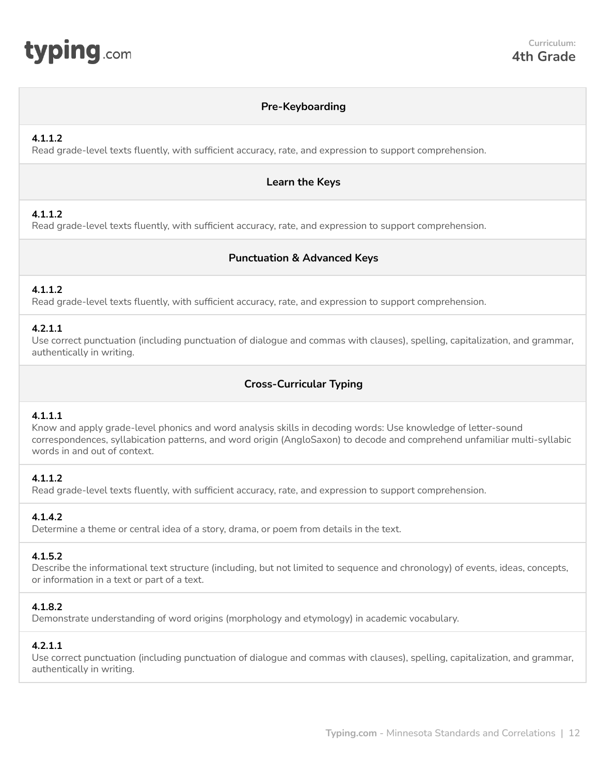<span id="page-11-0"></span>

#### **Pre-Keyboarding**

#### **4.1.1.2**

Read grade-level texts fluently, with sufficient accuracy, rate, and expression to support comprehension.

#### **Learn the Keys**

#### **4.1.1.2**

Read grade-level texts fluently, with sufficient accuracy, rate, and expression to support comprehension.

## **Punctuation & Advanced Keys**

#### **4.1.1.2**

Read grade-level texts fluently, with sufficient accuracy, rate, and expression to support comprehension.

#### **4.2.1.1**

Use correct punctuation (including punctuation of dialogue and commas with clauses), spelling, capitalization, and grammar, authentically in writing.

## **Cross-Curricular Typing**

#### **4.1.1.1**

Know and apply grade-level phonics and word analysis skills in decoding words: Use knowledge of letter-sound correspondences, syllabication patterns, and word origin (AngloSaxon) to decode and comprehend unfamiliar multi-syllabic words in and out of context.

#### **4.1.1.2**

Read grade-level texts fluently, with sufficient accuracy, rate, and expression to support comprehension.

#### **4.1.4.2**

Determine a theme or central idea of a story, drama, or poem from details in the text.

#### **4.1.5.2**

Describe the informational text structure (including, but not limited to sequence and chronology) of events, ideas, concepts, or information in a text or part of a text.

#### **4.1.8.2**

Demonstrate understanding of word origins (morphology and etymology) in academic vocabulary.

#### **4.2.1.1**

Use correct punctuation (including punctuation of dialogue and commas with clauses), spelling, capitalization, and grammar, authentically in writing.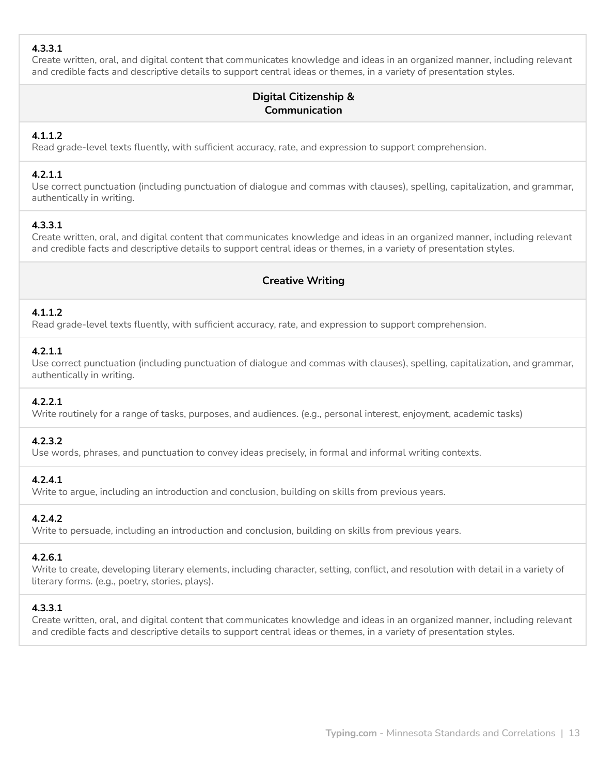## **4.3.3.1**

Create written, oral, and digital content that communicates knowledge and ideas in an organized manner, including relevant and credible facts and descriptive details to support central ideas or themes, in a variety of presentation styles.

# **Digital Citizenship & Communication**

## **4.1.1.2**

Read grade-level texts fluently, with sufficient accuracy, rate, and expression to support comprehension.

#### **4.2.1.1**

Use correct punctuation (including punctuation of dialogue and commas with clauses), spelling, capitalization, and grammar, authentically in writing.

#### **4.3.3.1**

Create written, oral, and digital content that communicates knowledge and ideas in an organized manner, including relevant and credible facts and descriptive details to support central ideas or themes, in a variety of presentation styles.

## **Creative Writing**

#### **4.1.1.2**

Read grade-level texts fluently, with sufficient accuracy, rate, and expression to support comprehension.

#### **4.2.1.1**

Use correct punctuation (including punctuation of dialogue and commas with clauses), spelling, capitalization, and grammar, authentically in writing.

#### **4.2.2.1**

Write routinely for a range of tasks, purposes, and audiences. (e.g., personal interest, enjoyment, academic tasks)

#### **4.2.3.2**

Use words, phrases, and punctuation to convey ideas precisely, in formal and informal writing contexts.

## **4.2.4.1**

Write to argue, including an introduction and conclusion, building on skills from previous years.

## **4.2.4.2**

Write to persuade, including an introduction and conclusion, building on skills from previous years.

#### **4.2.6.1**

Write to create, developing literary elements, including character, setting, conflict, and resolution with detail in a variety of literary forms. (e.g., poetry, stories, plays).

#### **4.3.3.1**

Create written, oral, and digital content that communicates knowledge and ideas in an organized manner, including relevant and credible facts and descriptive details to support central ideas or themes, in a variety of presentation styles.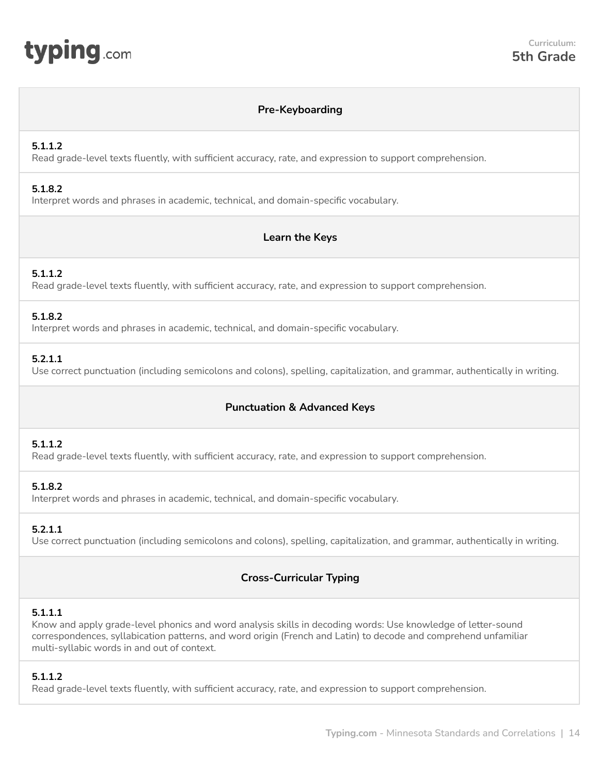<span id="page-13-0"></span>

#### **Pre-Keyboarding**

#### **5.1.1.2**

Read grade-level texts fluently, with sufficient accuracy, rate, and expression to support comprehension.

#### **5.1.8.2**

Interpret words and phrases in academic, technical, and domain-specific vocabulary.

#### **Learn the Keys**

#### **5.1.1.2**

Read grade-level texts fluently, with sufficient accuracy, rate, and expression to support comprehension.

#### **5.1.8.2**

Interpret words and phrases in academic, technical, and domain-specific vocabulary.

#### **5.2.1.1**

Use correct punctuation (including semicolons and colons), spelling, capitalization, and grammar, authentically in writing.

## **Punctuation & Advanced Keys**

#### **5.1.1.2**

Read grade-level texts fluently, with sufficient accuracy, rate, and expression to support comprehension.

#### **5.1.8.2**

Interpret words and phrases in academic, technical, and domain-specific vocabulary.

#### **5.2.1.1**

Use correct punctuation (including semicolons and colons), spelling, capitalization, and grammar, authentically in writing.

# **Cross-Curricular Typing**

#### **5.1.1.1**

Know and apply grade-level phonics and word analysis skills in decoding words: Use knowledge of letter-sound correspondences, syllabication patterns, and word origin (French and Latin) to decode and comprehend unfamiliar multi-syllabic words in and out of context.

#### **5.1.1.2**

Read grade-level texts fluently, with sufficient accuracy, rate, and expression to support comprehension.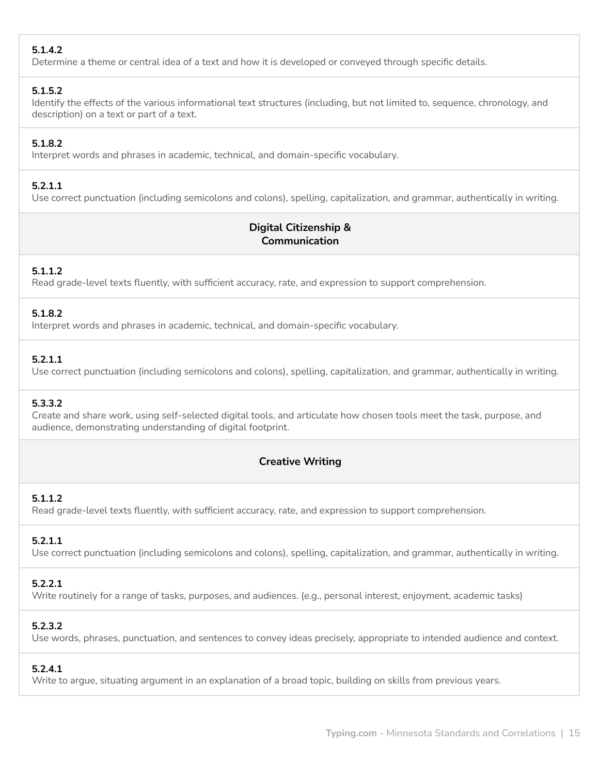## **5.1.4.2**

Determine a theme or central idea of a text and how it is developed or conveyed through specific details.

#### **5.1.5.2**

Identify the effects of the various informational text structures (including, but not limited to, sequence, chronology, and description) on a text or part of a text.

## **5.1.8.2**

Interpret words and phrases in academic, technical, and domain-specific vocabulary.

#### **5.2.1.1**

Use correct punctuation (including semicolons and colons), spelling, capitalization, and grammar, authentically in writing.

# **Digital Citizenship & Communication**

## **5.1.1.2**

Read grade-level texts fluently, with sufficient accuracy, rate, and expression to support comprehension.

#### **5.1.8.2**

Interpret words and phrases in academic, technical, and domain-specific vocabulary.

#### **5.2.1.1**

Use correct punctuation (including semicolons and colons), spelling, capitalization, and grammar, authentically in writing.

## **5.3.3.2**

Create and share work, using self-selected digital tools, and articulate how chosen tools meet the task, purpose, and audience, demonstrating understanding of digital footprint.

## **Creative Writing**

## **5.1.1.2**

Read grade-level texts fluently, with sufficient accuracy, rate, and expression to support comprehension.

## **5.2.1.1**

Use correct punctuation (including semicolons and colons), spelling, capitalization, and grammar, authentically in writing.

## **5.2.2.1**

Write routinely for a range of tasks, purposes, and audiences. (e.g., personal interest, enjoyment, academic tasks)

## **5.2.3.2**

Use words, phrases, punctuation, and sentences to convey ideas precisely, appropriate to intended audience and context.

## **5.2.4.1**

Write to argue, situating argument in an explanation of a broad topic, building on skills from previous years.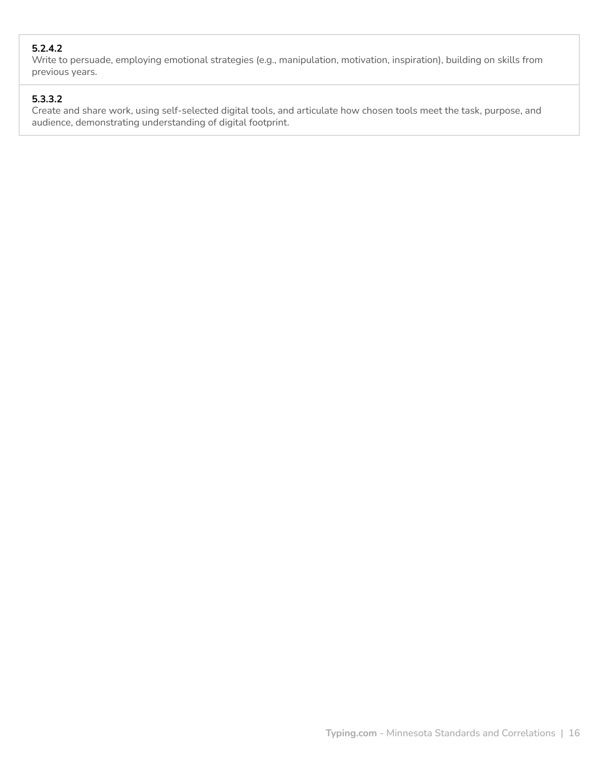## **5.2.4.2**

Write to persuade, employing emotional strategies (e.g., manipulation, motivation, inspiration), building on skills from previous years.

## **5.3.3.2**

Create and share work, using self-selected digital tools, and articulate how chosen tools meet the task, purpose, and audience, demonstrating understanding of digital footprint.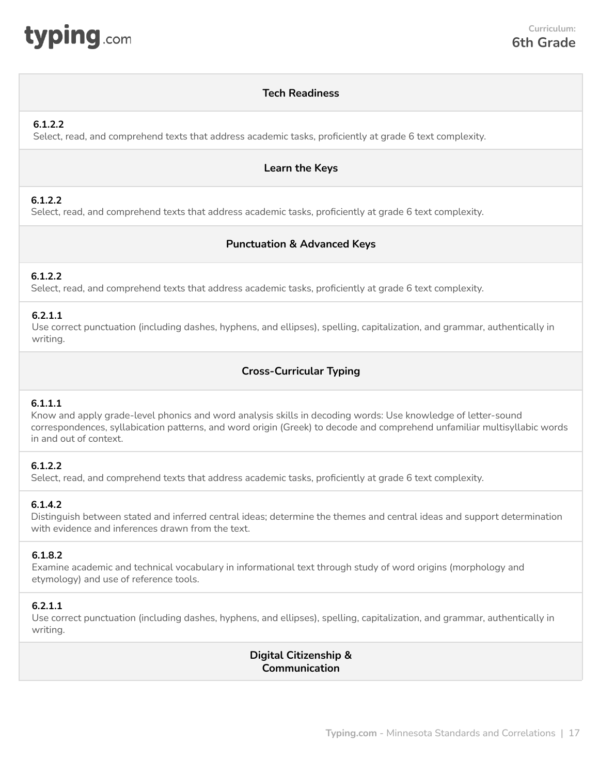<span id="page-16-0"></span>

## **Tech Readiness**

#### **6.1.2.2**

Select, read, and comprehend texts that address academic tasks, proficiently at grade 6 text complexity.

#### **Learn the Keys**

## **6.1.2.2**

Select, read, and comprehend texts that address academic tasks, proficiently at grade 6 text complexity.

## **Punctuation & Advanced Keys**

#### **6.1.2.2**

Select, read, and comprehend texts that address academic tasks, proficiently at grade 6 text complexity.

#### **6.2.1.1**

Use correct punctuation (including dashes, hyphens, and ellipses), spelling, capitalization, and grammar, authentically in writing.

## **Cross-Curricular Typing**

#### **6.1.1.1**

Know and apply grade-level phonics and word analysis skills in decoding words: Use knowledge of letter-sound correspondences, syllabication patterns, and word origin (Greek) to decode and comprehend unfamiliar multisyllabic words in and out of context.

## **6.1.2.2**

Select, read, and comprehend texts that address academic tasks, proficiently at grade 6 text complexity.

#### **6.1.4.2**

Distinguish between stated and inferred central ideas; determine the themes and central ideas and support determination with evidence and inferences drawn from the text.

#### **6.1.8.2**

Examine academic and technical vocabulary in informational text through study of word origins (morphology and etymology) and use of reference tools.

#### **6.2.1.1**

Use correct punctuation (including dashes, hyphens, and ellipses), spelling, capitalization, and grammar, authentically in writing.

> **Digital Citizenship & Communication**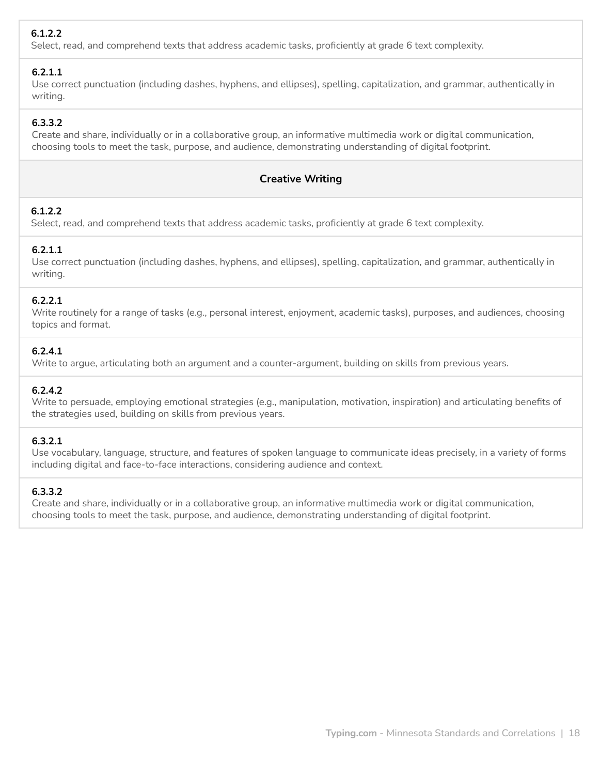# **6.1.2.2**

Select, read, and comprehend texts that address academic tasks, proficiently at grade 6 text complexity.

## **6.2.1.1**

Use correct punctuation (including dashes, hyphens, and ellipses), spelling, capitalization, and grammar, authentically in writing.

## **6.3.3.2**

Create and share, individually or in a collaborative group, an informative multimedia work or digital communication, choosing tools to meet the task, purpose, and audience, demonstrating understanding of digital footprint.

## **Creative Writing**

## **6.1.2.2**

Select, read, and comprehend texts that address academic tasks, proficiently at grade 6 text complexity.

## **6.2.1.1**

Use correct punctuation (including dashes, hyphens, and ellipses), spelling, capitalization, and grammar, authentically in writing.

## **6.2.2.1**

Write routinely for a range of tasks (e.g., personal interest, enjoyment, academic tasks), purposes, and audiences, choosing topics and format.

## **6.2.4.1**

Write to argue, articulating both an argument and a counter-argument, building on skills from previous years.

## **6.2.4.2**

Write to persuade, employing emotional strategies (e.g., manipulation, motivation, inspiration) and articulating benefits of the strategies used, building on skills from previous years.

## **6.3.2.1**

Use vocabulary, language, structure, and features of spoken language to communicate ideas precisely, in a variety of forms including digital and face-to-face interactions, considering audience and context.

## **6.3.3.2**

Create and share, individually or in a collaborative group, an informative multimedia work or digital communication, choosing tools to meet the task, purpose, and audience, demonstrating understanding of digital footprint.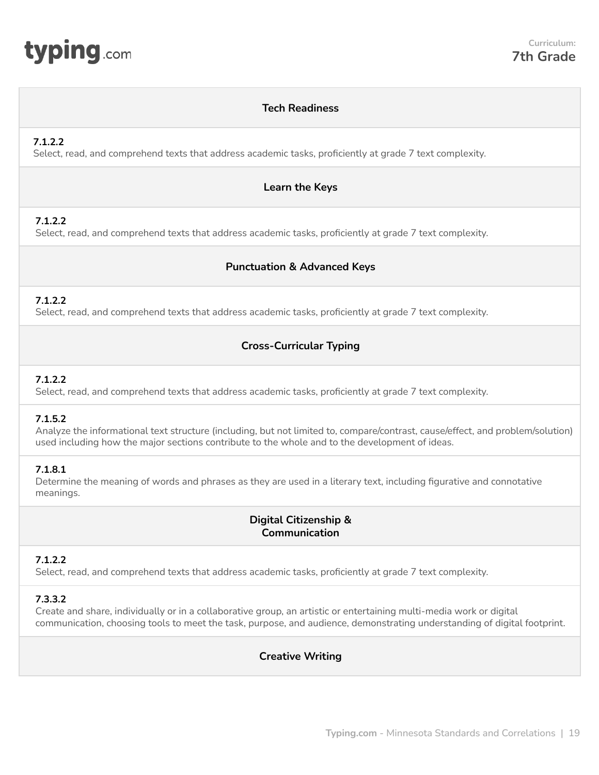<span id="page-18-0"></span>

## **Tech Readiness**

## **7.1.2.2**

Select, read, and comprehend texts that address academic tasks, proficiently at grade 7 text complexity.

#### **Learn the Keys**

## **7.1.2.2**

Select, read, and comprehend texts that address academic tasks, proficiently at grade 7 text complexity.

## **Punctuation & Advanced Keys**

## **7.1.2.2**

Select, read, and comprehend texts that address academic tasks, proficiently at grade 7 text complexity.

## **Cross-Curricular Typing**

## **7.1.2.2**

Select, read, and comprehend texts that address academic tasks, proficiently at grade 7 text complexity.

## **7.1.5.2**

Analyze the informational text structure (including, but not limited to, compare/contrast, cause/effect, and problem/solution) used including how the major sections contribute to the whole and to the development of ideas.

## **7.1.8.1**

Determine the meaning of words and phrases as they are used in a literary text, including figurative and connotative meanings.

# **Digital Citizenship & Communication**

## **7.1.2.2**

Select, read, and comprehend texts that address academic tasks, proficiently at grade 7 text complexity.

## **7.3.3.2**

Create and share, individually or in a collaborative group, an artistic or entertaining multi-media work or digital communication, choosing tools to meet the task, purpose, and audience, demonstrating understanding of digital footprint.

## **Creative Writing**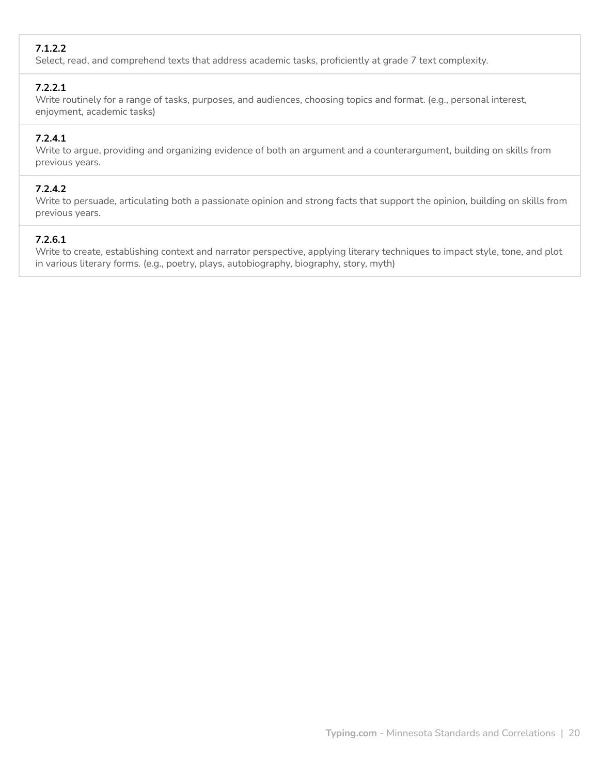# **7.1.2.2**

Select, read, and comprehend texts that address academic tasks, proficiently at grade 7 text complexity.

## **7.2.2.1**

Write routinely for a range of tasks, purposes, and audiences, choosing topics and format. (e.g., personal interest, enjoyment, academic tasks)

# **7.2.4.1**

Write to argue, providing and organizing evidence of both an argument and a counterargument, building on skills from previous years.

## **7.2.4.2**

Write to persuade, articulating both a passionate opinion and strong facts that support the opinion, building on skills from previous years.

# **7.2.6.1**

Write to create, establishing context and narrator perspective, applying literary techniques to impact style, tone, and plot in various literary forms. (e.g., poetry, plays, autobiography, biography, story, myth)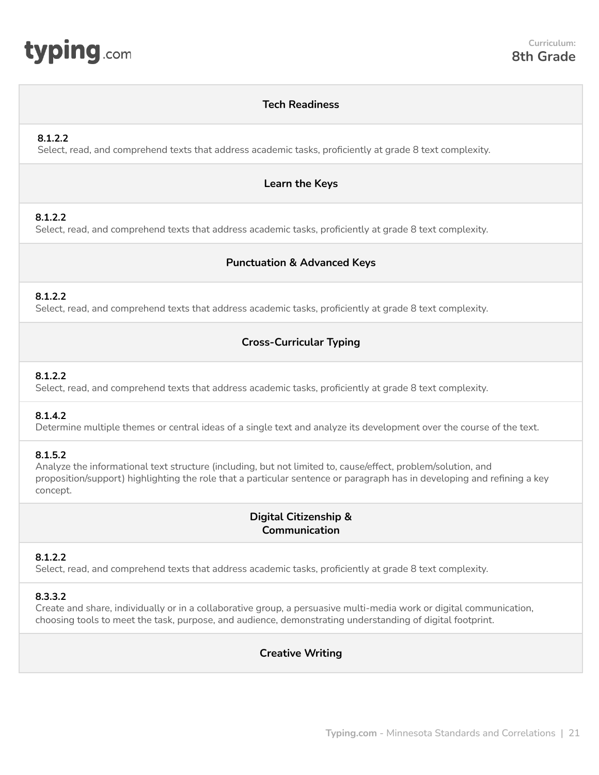<span id="page-20-0"></span>

#### **Tech Readiness**

#### **8.1.2.2**

Select, read, and comprehend texts that address academic tasks, proficiently at grade 8 text complexity.

#### **Learn the Keys**

#### **8.1.2.2**

Select, read, and comprehend texts that address academic tasks, proficiently at grade 8 text complexity.

#### **Punctuation & Advanced Keys**

#### **8.1.2.2**

Select, read, and comprehend texts that address academic tasks, proficiently at grade 8 text complexity.

#### **Cross-Curricular Typing**

#### **8.1.2.2**

Select, read, and comprehend texts that address academic tasks, proficiently at grade 8 text complexity.

#### **8.1.4.2**

Determine multiple themes or central ideas of a single text and analyze its development over the course of the text.

#### **8.1.5.2**

Analyze the informational text structure (including, but not limited to, cause/effect, problem/solution, and proposition/support) highlighting the role that a particular sentence or paragraph has in developing and refining a key concept.

#### **Digital Citizenship & Communication**

#### **8.1.2.2**

Select, read, and comprehend texts that address academic tasks, proficiently at grade 8 text complexity.

#### **8.3.3.2**

Create and share, individually or in a collaborative group, a persuasive multi-media work or digital communication, choosing tools to meet the task, purpose, and audience, demonstrating understanding of digital footprint.

#### **Creative Writing**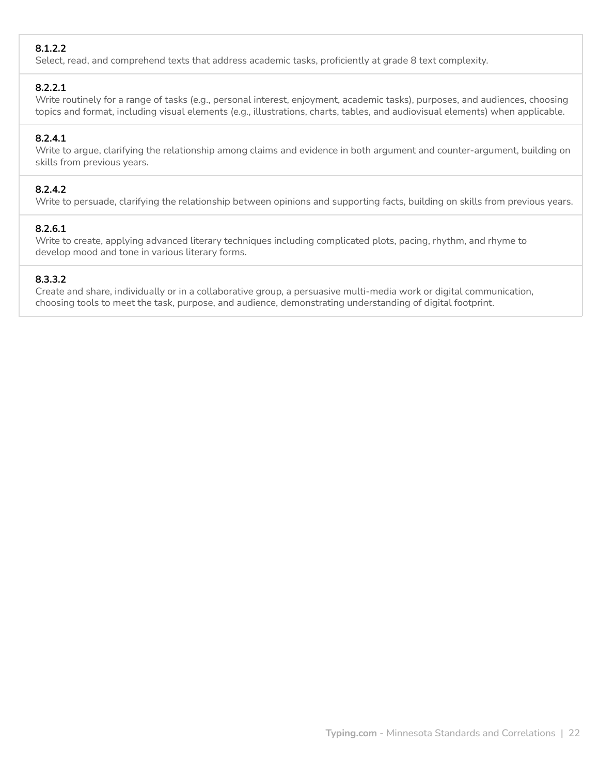## **8.1.2.2**

Select, read, and comprehend texts that address academic tasks, proficiently at grade 8 text complexity.

## **8.2.2.1**

Write routinely for a range of tasks (e.g., personal interest, enjoyment, academic tasks), purposes, and audiences, choosing topics and format, including visual elements (e.g., illustrations, charts, tables, and audiovisual elements) when applicable.

## **8.2.4.1**

Write to argue, clarifying the relationship among claims and evidence in both argument and counter-argument, building on skills from previous years.

## **8.2.4.2**

Write to persuade, clarifying the relationship between opinions and supporting facts, building on skills from previous years.

## **8.2.6.1**

Write to create, applying advanced literary techniques including complicated plots, pacing, rhythm, and rhyme to develop mood and tone in various literary forms.

## **8.3.3.2**

Create and share, individually or in a collaborative group, a persuasive multi-media work or digital communication, choosing tools to meet the task, purpose, and audience, demonstrating understanding of digital footprint.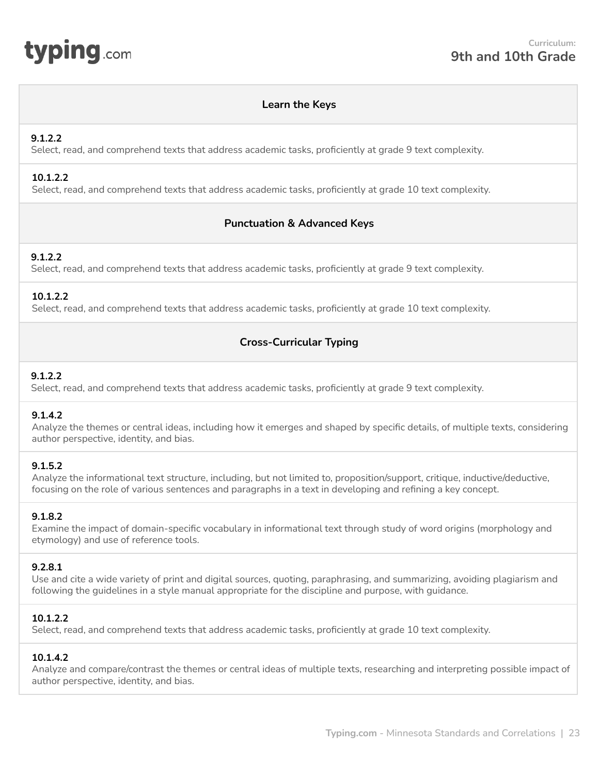<span id="page-22-0"></span>

#### **Learn the Keys**

#### **9.1.2.2**

Select, read, and comprehend texts that address academic tasks, proficiently at grade 9 text complexity.

#### **10.1.2.2**

Select, read, and comprehend texts that address academic tasks, proficiently at grade 10 text complexity.

## **Punctuation & Advanced Keys**

#### **9.1.2.2**

Select, read, and comprehend texts that address academic tasks, proficiently at grade 9 text complexity.

#### **10.1.2.2**

Select, read, and comprehend texts that address academic tasks, proficiently at grade 10 text complexity.

## **Cross-Curricular Typing**

#### **9.1.2.2**

Select, read, and comprehend texts that address academic tasks, proficiently at grade 9 text complexity.

#### **9.1.4.2**

Analyze the themes or central ideas, including how it emerges and shaped by specific details, of multiple texts, considering author perspective, identity, and bias.

#### **9.1.5.2**

Analyze the informational text structure, including, but not limited to, proposition/support, critique, inductive/deductive, focusing on the role of various sentences and paragraphs in a text in developing and refining a key concept.

#### **9.1.8.2**

Examine the impact of domain-specific vocabulary in informational text through study of word origins (morphology and etymology) and use of reference tools.

#### **9.2.8.1**

Use and cite a wide variety of print and digital sources, quoting, paraphrasing, and summarizing, avoiding plagiarism and following the guidelines in a style manual appropriate for the discipline and purpose, with guidance.

#### **10.1.2.2**

Select, read, and comprehend texts that address academic tasks, proficiently at grade 10 text complexity.

#### **10.1.4.2**

Analyze and compare/contrast the themes or central ideas of multiple texts, researching and interpreting possible impact of author perspective, identity, and bias.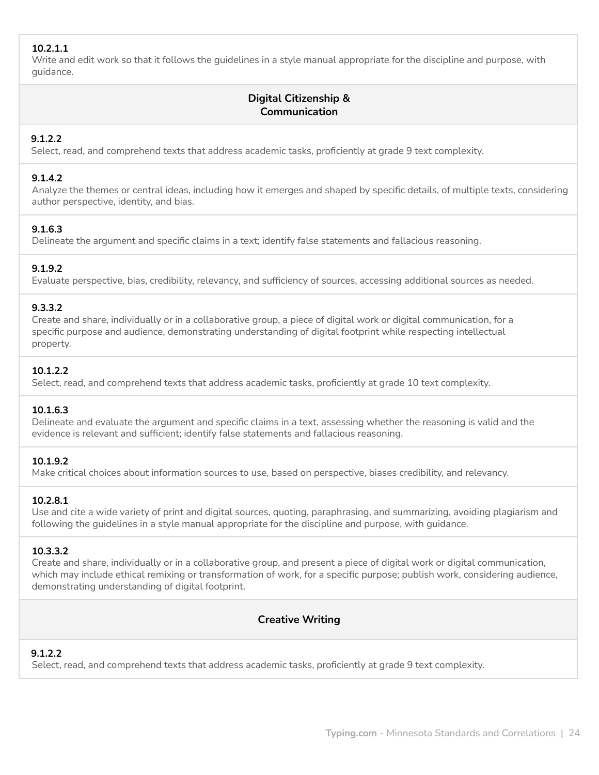## **10.2.1.1**

Write and edit work so that it follows the guidelines in a style manual appropriate for the discipline and purpose, with guidance.

# **Digital Citizenship & Communication**

## **9.1.2.2**

Select, read, and comprehend texts that address academic tasks, proficiently at grade 9 text complexity.

## **9.1.4.2**

Analyze the themes or central ideas, including how it emerges and shaped by specific details, of multiple texts, considering author perspective, identity, and bias.

## **9.1.6.3**

Delineate the argument and specific claims in a text; identify false statements and fallacious reasoning.

## **9.1.9.2**

Evaluate perspective, bias, credibility, relevancy, and sufficiency of sources, accessing additional sources as needed.

#### **9.3.3.2**

Create and share, individually or in a collaborative group, a piece of digital work or digital communication, for a specific purpose and audience, demonstrating understanding of digital footprint while respecting intellectual property.

## **10.1.2.2**

Select, read, and comprehend texts that address academic tasks, proficiently at grade 10 text complexity.

## **10.1.6.3**

Delineate and evaluate the argument and specific claims in a text, assessing whether the reasoning is valid and the evidence is relevant and sufficient; identify false statements and fallacious reasoning.

## **10.1.9.2**

Make critical choices about information sources to use, based on perspective, biases credibility, and relevancy.

#### **10.2.8.1**

Use and cite a wide variety of print and digital sources, quoting, paraphrasing, and summarizing, avoiding plagiarism and following the guidelines in a style manual appropriate for the discipline and purpose, with guidance.

## **10.3.3.2**

Create and share, individually or in a collaborative group, and present a piece of digital work or digital communication, which may include ethical remixing or transformation of work, for a specific purpose; publish work, considering audience, demonstrating understanding of digital footprint.

## **Creative Writing**

## **9.1.2.2**

Select, read, and comprehend texts that address academic tasks, proficiently at grade 9 text complexity.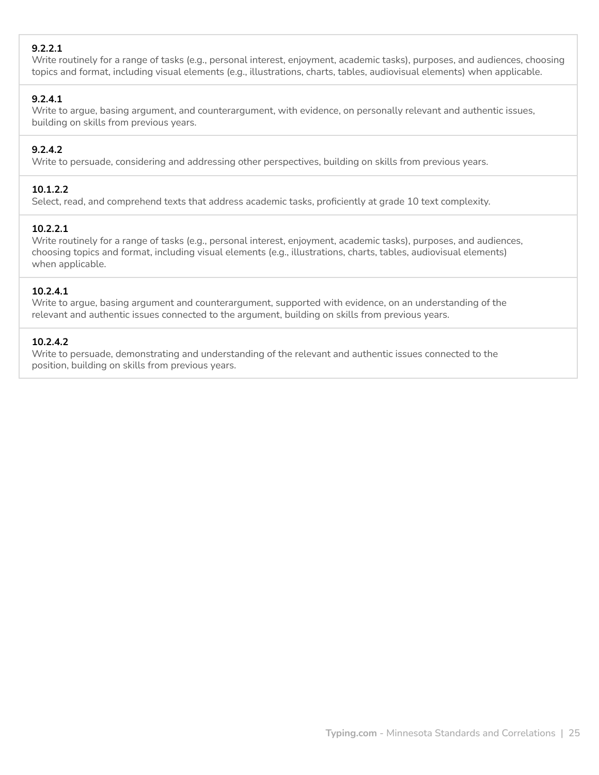## **9.2.2.1**

Write routinely for a range of tasks (e.g., personal interest, enjoyment, academic tasks), purposes, and audiences, choosing topics and format, including visual elements (e.g., illustrations, charts, tables, audiovisual elements) when applicable.

## **9.2.4.1**

Write to argue, basing argument, and counterargument, with evidence, on personally relevant and authentic issues, building on skills from previous years.

## **9.2.4.2**

Write to persuade, considering and addressing other perspectives, building on skills from previous years.

#### **10.1.2.2**

Select, read, and comprehend texts that address academic tasks, proficiently at grade 10 text complexity.

#### **10.2.2.1**

Write routinely for a range of tasks (e.g., personal interest, enjoyment, academic tasks), purposes, and audiences, choosing topics and format, including visual elements (e.g., illustrations, charts, tables, audiovisual elements) when applicable.

## **10.2.4.1**

Write to argue, basing argument and counterargument, supported with evidence, on an understanding of the relevant and authentic issues connected to the argument, building on skills from previous years.

#### **10.2.4.2**

Write to persuade, demonstrating and understanding of the relevant and authentic issues connected to the position, building on skills from previous years.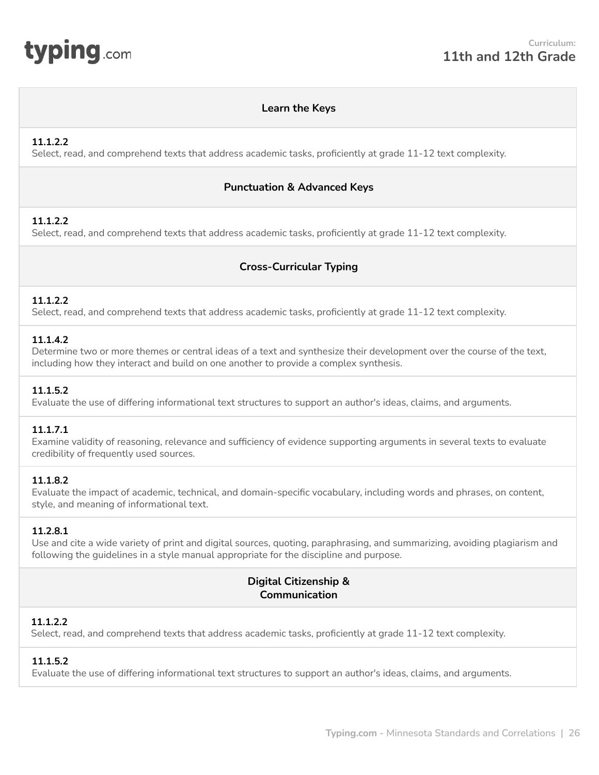<span id="page-25-0"></span>

#### **Learn the Keys**

## **11.1.2.2**

Select, read, and comprehend texts that address academic tasks, proficiently at grade 11-12 text complexity.

#### **Punctuation & Advanced Keys**

## **11.1.2.2**

Select, read, and comprehend texts that address academic tasks, proficiently at grade 11-12 text complexity.

# **Cross-Curricular Typing**

## **11.1.2.2**

Select, read, and comprehend texts that address academic tasks, proficiently at grade 11-12 text complexity.

#### **11.1.4.2**

Determine two or more themes or central ideas of a text and synthesize their development over the course of the text, including how they interact and build on one another to provide a complex synthesis.

#### **11.1.5.2**

Evaluate the use of differing informational text structures to support an author's ideas, claims, and arguments.

## **11.1.7.1**

Examine validity of reasoning, relevance and sufficiency of evidence supporting arguments in several texts to evaluate credibility of frequently used sources.

#### **11.1.8.2**

Evaluate the impact of academic, technical, and domain-specific vocabulary, including words and phrases, on content, style, and meaning of informational text.

## **11.2.8.1**

Use and cite a wide variety of print and digital sources, quoting, paraphrasing, and summarizing, avoiding plagiarism and following the guidelines in a style manual appropriate for the discipline and purpose.

# **Digital Citizenship & Communication**

## **11.1.2.2**

Select, read, and comprehend texts that address academic tasks, proficiently at grade 11-12 text complexity.

## **11.1.5.2**

Evaluate the use of differing informational text structures to support an author's ideas, claims, and arguments.